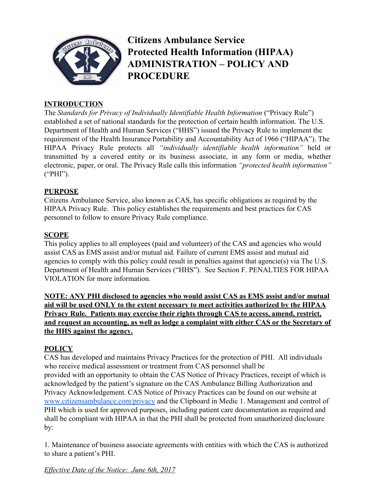

**Citizens Ambulance Service Protected Health Information (HIPAA) ADMINISTRATION – POLICY AND PROCEDURE**

### **INTRODUCTION**

The *Standards for Privacy of Individually Identifiable Health Information* ("Privacy Rule") established a set of national standards for the protection of certain health information. The U.S. Department of Health and Human Services ("HHS") issued the Privacy Rule to implement the requirement of the Health Insurance Portability and Accountability Act of 1966 ("HIPAA"). The HIPAA Privacy Rule protects all *"individually identifiable health information"* held or transmitted by a covered entity or its business associate, in any form or media, whether electronic, paper, or oral. The Privacy Rule calls this information *"protected health information"* ("PHI").

#### **PURPOSE**

Citizens Ambulance Service, also known as CAS, has specific obligations as required by the HIPAA Privacy Rule. This policy establishes the requirements and best practices for CAS personnel to follow to ensure Privacy Rule compliance.

### **SCOPE**

This policy applies to all employees (paid and volunteer) of the CAS and agencies who would assist CAS as EMS assist and/or mutual aid. Failure of current EMS assist and mutual aid agencies to comply with this policy could result in penalties against that agencie(s) via The U.S. Department of Health and Human Services ("HHS"). See Section F. PENALTIES FOR HIPAA VIOLATION for more information.

**NOTE: ANY PHI disclosed to agencies who would assist CAS as EMS assist and/or mutual aid will be used ONLY to the extent necessary to meet activities authorized by the HIPAA Privacy Rule. Patients may exercise their rights through CAS to access, amend, restrict, and request an accounting, as well as lodge a complaint with either CAS or the Secretary of the HHS against the agency.**

### **POLICY**

CAS has developed and maintains Privacy Practices for the protection of PHI. All individuals who receive medical assessment or treatment from CAS personnel shall be provided with an opportunity to obtain the CAS Notice of Privacy Practices, receipt of which is acknowledged by the patient's signature on the CAS Ambulance Billing Authorization and Privacy Acknowledgement. CAS Notice of Privacy Practices can be found on our website at [www.citizensambulance.com/privacy](http://www.citizensambulance.com/privacy) and the Clipboard in Medic 1. Management and control of PHI which is used for approved purposes, including patient care documentation as required and shall be compliant with HIPAA in that the PHI shall be protected from unauthorized disclosure by:

1. Maintenance of business associate agreements with entities with which the CAS is authorized to share a patient's PHI.

*Effective Date of the Notice: June 6th, 2017*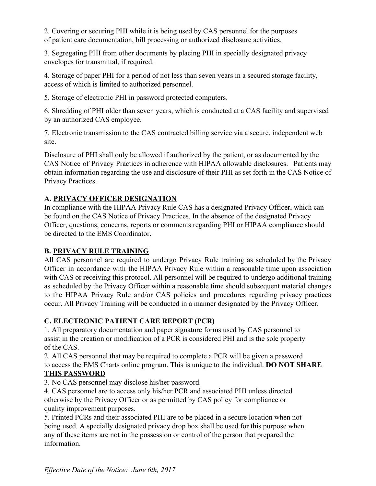2. Covering or securing PHI while it is being used by CAS personnel for the purposes of patient care documentation, bill processing or authorized disclosure activities.

3. Segregating PHI from other documents by placing PHI in specially designated privacy envelopes for transmittal, if required.

4. Storage of paper PHI for a period of not less than seven years in a secured storage facility, access of which is limited to authorized personnel.

5. Storage of electronic PHI in password protected computers.

6. Shredding of PHI older than seven years, which is conducted at a CAS facility and supervised by an authorized CAS employee.

7. Electronic transmission to the CAS contracted billing service via a secure, independent web site.

Disclosure of PHI shall only be allowed if authorized by the patient, or as documented by the CAS Notice of Privacy Practices in adherence with HIPAA allowable disclosures. Patients may obtain information regarding the use and disclosure of their PHI as set forth in the CAS Notice of Privacy Practices.

# **A. PRIVACY OFFICER DESIGNATION**

In compliance with the HIPAA Privacy Rule CAS has a designated Privacy Officer, which can be found on the CAS Notice of Privacy Practices. In the absence of the designated Privacy Officer, questions, concerns, reports or comments regarding PHI or HIPAA compliance should be directed to the EMS Coordinator.

### **B. PRIVACY RULE TRAINING**

All CAS personnel are required to undergo Privacy Rule training as scheduled by the Privacy Officer in accordance with the HIPAA Privacy Rule within a reasonable time upon association with CAS or receiving this protocol. All personnel will be required to undergo additional training as scheduled by the Privacy Officer within a reasonable time should subsequent material changes to the HIPAA Privacy Rule and/or CAS policies and procedures regarding privacy practices occur. All Privacy Training will be conducted in a manner designated by the Privacy Officer.

### **C. ELECTRONIC PATIENT CARE REPORT (PCR)**

1. All preparatory documentation and paper signature forms used by CAS personnel to assist in the creation or modification of a PCR is considered PHI and is the sole property of the CAS.

2. All CAS personnel that may be required to complete a PCR will be given a password to access the EMS Charts online program. This is unique to the individual. **DO NOT SHARE**

### **THIS PASSWORD**

3. No CAS personnel may disclose his/her password.

4. CAS personnel are to access only his/her PCR and associated PHI unless directed otherwise by the Privacy Officer or as permitted by CAS policy for compliance or quality improvement purposes.

5. Printed PCRs and their associated PHI are to be placed in a secure location when not being used. A specially designated privacy drop box shall be used for this purpose when any of these items are not in the possession or control of the person that prepared the information.